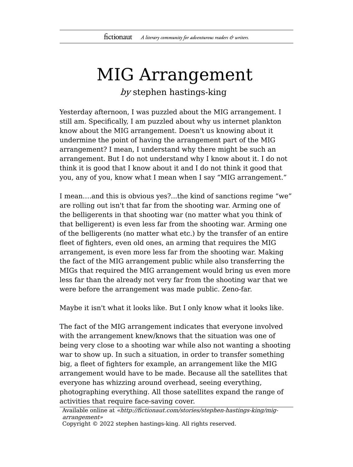## MIG Arrangement

by stephen hastings-king

Yesterday afternoon, I was puzzled about the MIG arrangement. I still am. Specifically, I am puzzled about why us internet plankton know about the MIG arrangement. Doesn't us knowing about it undermine the point of having the arrangement part of the MIG arrangement? I mean, I understand why there might be such an arrangement. But I do not understand why I know about it. I do not think it is good that I know about it and I do not think it good that you, any of you, know what I mean when I say "MIG arrangement."

I mean….and this is obvious yes?...the kind of sanctions regime "we" are rolling out isn't that far from the shooting war. Arming one of the belligerents in that shooting war (no matter what you think of that belligerent) is even less far from the shooting war. Arming one of the belligerents (no matter what etc.) by the transfer of an entire fleet of fighters, even old ones, an arming that requires the MIG arrangement, is even more less far from the shooting war. Making the fact of the MIG arrangement public while also transferring the MIGs that required the MIG arrangement would bring us even more less far than the already not very far from the shooting war that we were before the arrangement was made public. Zeno-far.

Maybe it isn't what it looks like. But I only know what it looks like.

The fact of the MIG arrangement indicates that everyone involved with the arrangement knew/knows that the situation was one of being very close to a shooting war while also not wanting a shooting war to show up. In such a situation, in order to transfer something big, a fleet of fighters for example, an arrangement like the MIG arrangement would have to be made. Because all the satellites that everyone has whizzing around overhead, seeing everything, photographing everything. All those satellites expand the range of activities that require face-saving cover.

```
Available online at «http://fictionaut.com/stories/stephen-hastings-king/mig-
arrangement»
```
Copyright © 2022 stephen hastings-king. All rights reserved.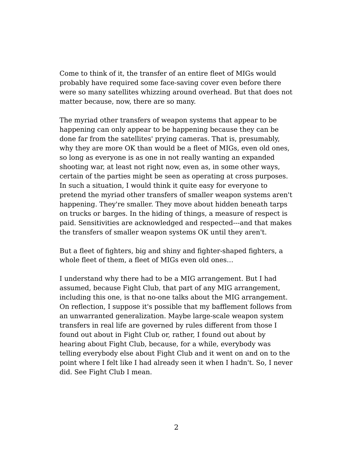Come to think of it, the transfer of an entire fleet of MIGs would probably have required some face-saving cover even before there were so many satellites whizzing around overhead. But that does not matter because, now, there are so many.

The myriad other transfers of weapon systems that appear to be happening can only appear to be happening because they can be done far from the satellites' prying cameras. That is, presumably, why they are more OK than would be a fleet of MIGs, even old ones, so long as everyone is as one in not really wanting an expanded shooting war, at least not right now, even as, in some other ways, certain of the parties might be seen as operating at cross purposes. In such a situation, I would think it quite easy for everyone to pretend the myriad other transfers of smaller weapon systems aren't happening. They're smaller. They move about hidden beneath tarps on trucks or barges. In the hiding of things, a measure of respect is paid. Sensitivities are acknowledged and respected---and that makes the transfers of smaller weapon systems OK until they aren't.

But a fleet of fighters, big and shiny and fighter-shaped fighters, a whole fleet of them, a fleet of MIGs even old ones…

I understand why there had to be a MIG arrangement. But I had assumed, because Fight Club, that part of any MIG arrangement, including this one, is that no-one talks about the MIG arrangement. On reflection, I suppose it's possible that my bafflement follows from an unwarranted generalization. Maybe large-scale weapon system transfers in real life are governed by rules different from those I found out about in Fight Club or, rather, I found out about by hearing about Fight Club, because, for a while, everybody was telling everybody else about Fight Club and it went on and on to the point where I felt like I had already seen it when I hadn't. So, I never did. See Fight Club I mean.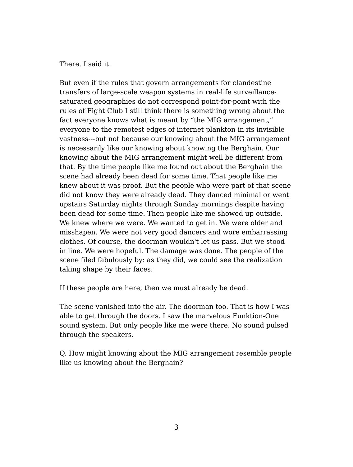There. I said it.

But even if the rules that govern arrangements for clandestine transfers of large-scale weapon systems in real-life surveillancesaturated geographies do not correspond point-for-point with the rules of Fight Club I still think there is something wrong about the fact everyone knows what is meant by "the MIG arrangement," everyone to the remotest edges of internet plankton in its invisible vastness---but not because our knowing about the MIG arrangement is necessarily like our knowing about knowing the Berghain. Our knowing about the MIG arrangement might well be different from that. By the time people like me found out about the Berghain the scene had already been dead for some time. That people like me knew about it was proof. But the people who were part of that scene did not know they were already dead. They danced minimal or went upstairs Saturday nights through Sunday mornings despite having been dead for some time. Then people like me showed up outside. We knew where we were. We wanted to get in. We were older and misshapen. We were not very good dancers and wore embarrassing clothes. Of course, the doorman wouldn't let us pass. But we stood in line. We were hopeful. The damage was done. The people of the scene filed fabulously by: as they did, we could see the realization taking shape by their faces:

If these people are here, then we must already be dead.

The scene vanished into the air. The doorman too. That is how I was able to get through the doors. I saw the marvelous Funktion-One sound system. But only people like me were there. No sound pulsed through the speakers.

Q. How might knowing about the MIG arrangement resemble people like us knowing about the Berghain?